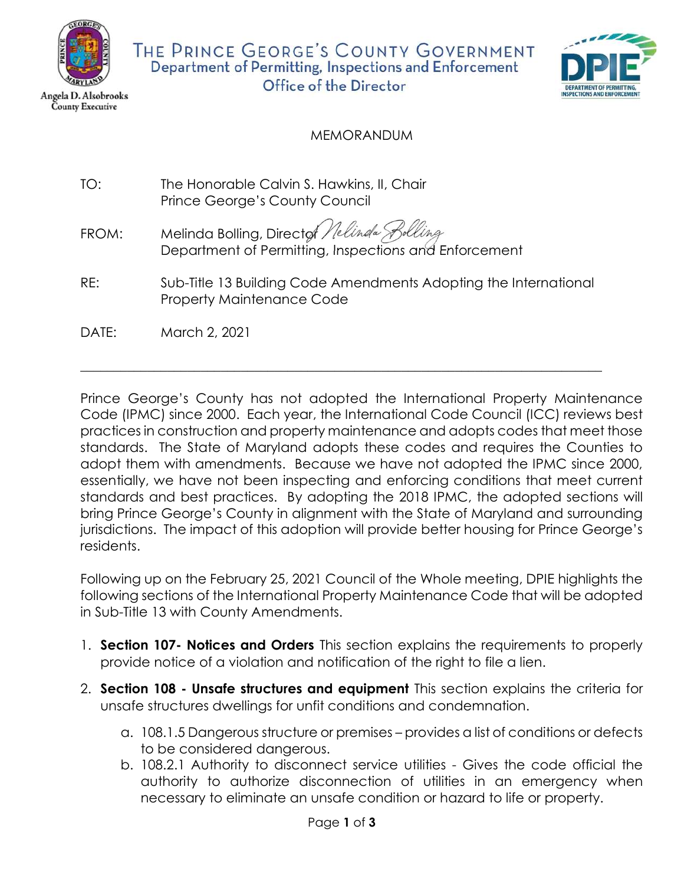

**County Executive** 

THE PRINCE GEORGE'S COUNTY GOVERNMENT Department of Permitting, Inspections and Enforcement Office of the Director



## MEMORANDUM

- TO: The Honorable Calvin S. Hawkins, II, Chair Prince George's County Council
- FROM: Melinda Bolling, Directof Nelinda S Department of Permitting, Inspections and Enforcement
- RE: Sub-Title 13 Building Code Amendments Adopting the International Property Maintenance Code

 $\overline{\phantom{a}}$  , and the set of the set of the set of the set of the set of the set of the set of the set of the set of the set of the set of the set of the set of the set of the set of the set of the set of the set of the s

DATE: March 2, 2021

Prince George's County has not adopted the International Property Maintenance Code (IPMC) since 2000. Each year, the International Code Council (ICC) reviews best practices in construction and property maintenance and adopts codes that meet those standards. The State of Maryland adopts these codes and requires the Counties to adopt them with amendments. Because we have not adopted the IPMC since 2000, essentially, we have not been inspecting and enforcing conditions that meet current standards and best practices. By adopting the 2018 IPMC, the adopted sections will bring Prince George's County in alignment with the State of Maryland and surrounding jurisdictions. The impact of this adoption will provide better housing for Prince George's residents.

Following up on the February 25, 2021 Council of the Whole meeting, DPIE highlights the following sections of the International Property Maintenance Code that will be adopted in Sub-Title 13 with County Amendments.

- 1. Section 107- Notices and Orders This section explains the requirements to properly provide notice of a violation and notification of the right to file a lien.
- 2. Section 108 Unsafe structures and equipment This section explains the criteria for unsafe structures dwellings for unfit conditions and condemnation.
	- a. 108.1.5 Dangerous structure or premises provides a list of conditions or defects to be considered dangerous.
	- b. 108.2.1 Authority to disconnect service utilities Gives the code official the authority to authorize disconnection of utilities in an emergency when necessary to eliminate an unsafe condition or hazard to life or property.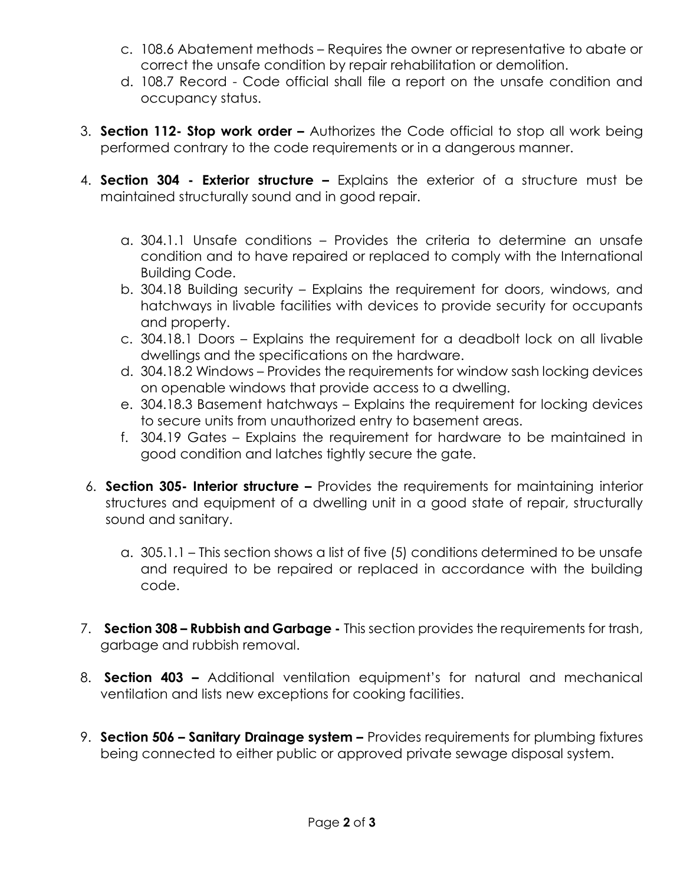- c. 108.6 Abatement methods Requires the owner or representative to abate or correct the unsafe condition by repair rehabilitation or demolition.
- d. 108.7 Record Code official shall file a report on the unsafe condition and occupancy status.
- 3. Section 112- Stop work order Authorizes the Code official to stop all work being performed contrary to the code requirements or in a dangerous manner.
- 4. Section 304 Exterior structure Explains the exterior of a structure must be maintained structurally sound and in good repair.
	- a. 304.1.1 Unsafe conditions Provides the criteria to determine an unsafe condition and to have repaired or replaced to comply with the International Building Code.
	- b. 304.18 Building security Explains the requirement for doors, windows, and hatchways in livable facilities with devices to provide security for occupants and property.
	- c. 304.18.1 Doors Explains the requirement for a deadbolt lock on all livable dwellings and the specifications on the hardware.
	- d. 304.18.2 Windows Provides the requirements for window sash locking devices on openable windows that provide access to a dwelling.
	- e. 304.18.3 Basement hatchways Explains the requirement for locking devices to secure units from unauthorized entry to basement areas.
	- f. 304.19 Gates Explains the requirement for hardware to be maintained in good condition and latches tightly secure the gate.
- 6. Section 305- Interior structure Provides the requirements for maintaining interior structures and equipment of a dwelling unit in a good state of repair, structurally sound and sanitary.
	- a. 305.1.1 This section shows a list of five (5) conditions determined to be unsafe and required to be repaired or replaced in accordance with the building code.
- 7. Section 308 Rubbish and Garbage This section provides the requirements for trash, garbage and rubbish removal.
- 8. **Section 403 –** Additional ventilation equipment's for natural and mechanical ventilation and lists new exceptions for cooking facilities.
- 9. Section 506 Sanitary Drainage system Provides requirements for plumbing fixtures being connected to either public or approved private sewage disposal system.